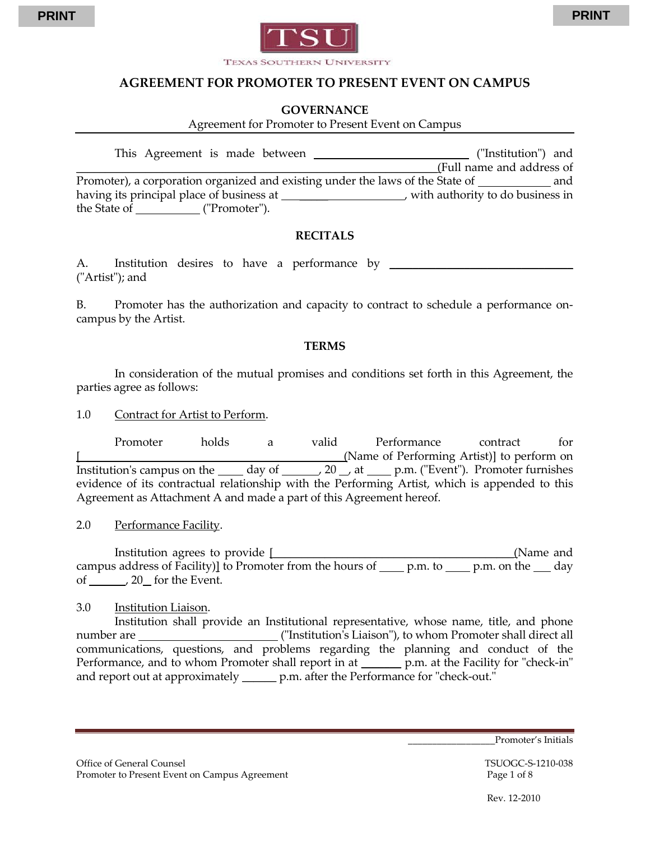

#### **GOVERNANCE**

Agreement for Promoter to Present Event on Campus

| This Agreement is made between                                                 | ("Institution") and              |
|--------------------------------------------------------------------------------|----------------------------------|
|                                                                                | (Full name and address of        |
| Promoter), a corporation organized and existing under the laws of the State of | and                              |
| having its principal place of business at                                      | with authority to do business in |
| the State of<br>("Promoter").                                                  |                                  |

#### **RECITALS**

A. Institution desires to have a performance by \_\_\_\_\_\_\_\_\_\_\_\_\_\_\_\_\_\_\_\_\_\_\_\_\_\_\_\_\_\_\_\_ ("Artist"); and

B. Promoter has the authorization and capacity to contract to schedule a performance oncampus by the Artist.

#### **TERMS**

In consideration of the mutual promises and conditions set forth in this Agreement, the parties agree as follows:

1.0 Contract for Artist to Perform.

Promoter holds a valid Performance contract for (Name of Performing Artist)] to perform on Institution's campus on the  $\_\_\_\_\_\_\_\_\_$  of  $\_\_\_\_$  20  $\_\_\_\_\_\_\_\_\_\_\_\_\_\_\_\.\$  ("Event"). Promoter furnishes evidence of its contractual relationship with the Performing Artist, which is appended to this Agreement as Attachment A and made a part of this Agreement hereof.

2.0 Performance Facility.

Institution agrees to provide [\_\_\_\_\_\_\_\_\_\_\_\_\_\_\_\_\_\_\_\_\_\_\_\_\_\_\_\_\_\_\_\_\_\_\_\_\_\_\_\_\_\_(Name and campus address of Facility)] to Promoter from the hours of  $p.m.$  to p.m. on the day of , 20 for the Event.

3.0 Institution Liaison.

Institution shall provide an Institutional representative, whose name, title, and phone number are ("Institution's Liaison"), to whom Promoter shall direct all communications, questions, and problems regarding the planning and conduct of the Performance, and to whom Promoter shall report in at <u>equal</u> p.m. at the Facility for "check-in" and report out at approximately \_\_\_\_\_\_\_ p.m. after the Performance for "check-out."

Promoter's Initials

Office of General Counsel **TSUOGC-S-1210-038** Promoter to Present Event on Campus Agreement Page 1 of 8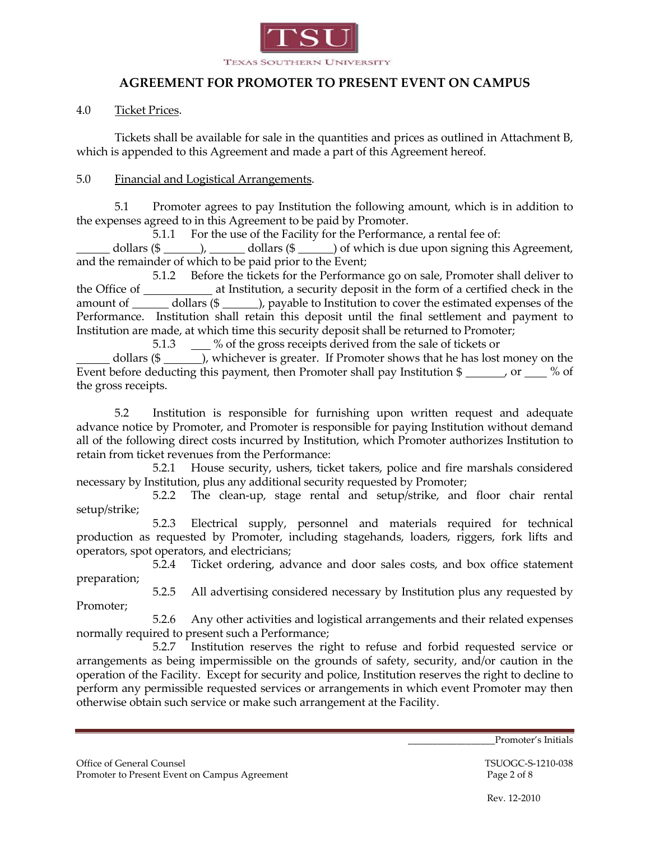

### 4.0 Ticket Prices.

Tickets shall be available for sale in the quantities and prices as outlined in Attachment B, which is appended to this Agreement and made a part of this Agreement hereof.

#### 5.0 Financial and Logistical Arrangements.

5.1 Promoter agrees to pay Institution the following amount, which is in addition to the expenses agreed to in this Agreement to be paid by Promoter.

5.1.1 For the use of the Facility for the Performance, a rental fee of:

dollars  $(\frac{2}{\sqrt{3}})$ , dollars  $(\frac{2}{\sqrt{3}})$  of which is due upon signing this Agreement, and the remainder of which to be paid prior to the Event;

5.1.2 Before the tickets for the Performance go on sale, Promoter shall deliver to the Office of at Institution, a security deposit in the form of a certified check in the amount of \_\_\_\_\_\_ dollars (\$ \_\_\_\_\_ ), payable to Institution to cover the estimated expenses of the Performance. Institution shall retain this deposit until the final settlement and payment to Institution are made, at which time this security deposit shall be returned to Promoter;

5.1.3 % of the gross receipts derived from the sale of tickets or

dollars (\$  $\qquad$  ), whichever is greater. If Promoter shows that he has lost money on the Event before deducting this payment, then Promoter shall pay Institution  $\frac{1}{2}$  or  $\frac{1}{2}$  or  $\frac{1}{2}$  % of the gross receipts.

5.2 Institution is responsible for furnishing upon written request and adequate advance notice by Promoter, and Promoter is responsible for paying Institution without demand all of the following direct costs incurred by Institution, which Promoter authorizes Institution to retain from ticket revenues from the Performance:

5.2.1 House security, ushers, ticket takers, police and fire marshals considered necessary by Institution, plus any additional security requested by Promoter;

5.2.2 The clean-up, stage rental and setup/strike, and floor chair rental setup/strike;

5.2.3 Electrical supply, personnel and materials required for technical production as requested by Promoter, including stagehands, loaders, riggers, fork lifts and operators, spot operators, and electricians;

5.2.4 Ticket ordering, advance and door sales costs, and box office statement preparation;

5.2.5 All advertising considered necessary by Institution plus any requested by Promoter;

5.2.6 Any other activities and logistical arrangements and their related expenses normally required to present such a Performance;

5.2.7 Institution reserves the right to refuse and forbid requested service or arrangements as being impermissible on the grounds of safety, security, and/or caution in the operation of the Facility. Except for security and police, Institution reserves the right to decline to perform any permissible requested services or arrangements in which event Promoter may then otherwise obtain such service or make such arrangement at the Facility.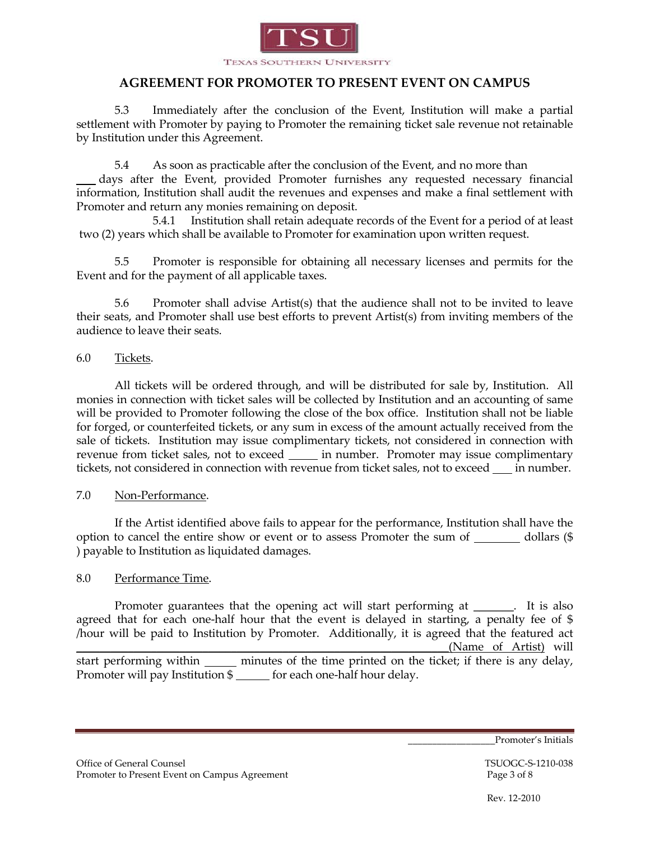

5.3 Immediately after the conclusion of the Event, Institution will make a partial settlement with Promoter by paying to Promoter the remaining ticket sale revenue not retainable by Institution under this Agreement.

5.4 As soon as practicable after the conclusion of the Event, and no more than

 days after the Event, provided Promoter furnishes any requested necessary financial information, Institution shall audit the revenues and expenses and make a final settlement with Promoter and return any monies remaining on deposit.

5.4.1 Institution shall retain adequate records of the Event for a period of at least two (2) years which shall be available to Promoter for examination upon written request.

5.5 Promoter is responsible for obtaining all necessary licenses and permits for the Event and for the payment of all applicable taxes.

5.6 Promoter shall advise Artist(s) that the audience shall not to be invited to leave their seats, and Promoter shall use best efforts to prevent Artist(s) from inviting members of the audience to leave their seats.

### 6.0 Tickets.

All tickets will be ordered through, and will be distributed for sale by, Institution. All monies in connection with ticket sales will be collected by Institution and an accounting of same will be provided to Promoter following the close of the box office. Institution shall not be liable for forged, or counterfeited tickets, or any sum in excess of the amount actually received from the sale of tickets. Institution may issue complimentary tickets, not considered in connection with revenue from ticket sales, not to exceed \_\_\_\_\_ in number. Promoter may issue complimentary tickets, not considered in connection with revenue from ticket sales, not to exceed in number.

## 7.0 Non-Performance.

If the Artist identified above fails to appear for the performance, Institution shall have the option to cancel the entire show or event or to assess Promoter the sum of  $\qquad$  dollars (\$ ) payable to Institution as liquidated damages.

## 8.0 Performance Time.

Promoter guarantees that the opening act will start performing at \_\_\_\_\_\_. It is also agreed that for each one-half hour that the event is delayed in starting, a penalty fee of \$ /hour will be paid to Institution by Promoter. Additionally, it is agreed that the featured act (Name of Artist) will

start performing within minutes of the time printed on the ticket; if there is any delay, Promoter will pay Institution \$ \_\_\_\_\_\_ for each one-half hour delay.

Promoter's Initials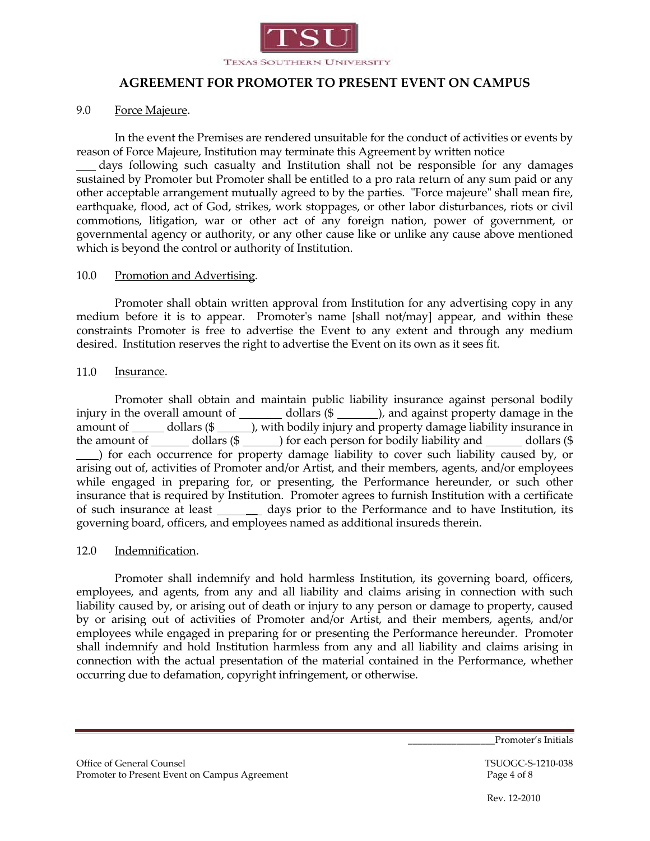

#### 9.0 Force Majeure.

In the event the Premises are rendered unsuitable for the conduct of activities or events by reason of Force Majeure, Institution may terminate this Agreement by written notice

 days following such casualty and Institution shall not be responsible for any damages sustained by Promoter but Promoter shall be entitled to a pro rata return of any sum paid or any other acceptable arrangement mutually agreed to by the parties. "Force majeure" shall mean fire, earthquake, flood, act of God, strikes, work stoppages, or other labor disturbances, riots or civil commotions, litigation, war or other act of any foreign nation, power of government, or governmental agency or authority, or any other cause like or unlike any cause above mentioned which is beyond the control or authority of Institution.

#### 10.0 Promotion and Advertising.

Promoter shall obtain written approval from Institution for any advertising copy in any medium before it is to appear. Promoter's name [shall not/may] appear, and within these constraints Promoter is free to advertise the Event to any extent and through any medium desired. Institution reserves the right to advertise the Event on its own as it sees fit.

#### 11.0 Insurance.

Promoter shall obtain and maintain public liability insurance against personal bodily injury in the overall amount of  $\_\_\_\_$  dollars (\$ $\_\_\_\_$ ), and against property damage in the amount of  $\frac{d}{dx}$  dollars (\$  $\frac{d}{dx}$ ), with bodily injury and property damage liability insurance in the amount of  $\frac{d}{dx}$  dollars (\$  $\frac{d}{dx}$ ) for each person for bodily liability and  $\frac{d}{dx}$  dollars (\$ ) for each occurrence for property damage liability to cover such liability caused by, or arising out of, activities of Promoter and/or Artist, and their members, agents, and/or employees while engaged in preparing for, or presenting, the Performance hereunder, or such other insurance that is required by Institution. Promoter agrees to furnish Institution with a certificate of such insurance at least days prior to the Performance and to have Institution, its governing board, officers, and employees named as additional insureds therein.

#### 12.0 Indemnification.

Promoter shall indemnify and hold harmless Institution, its governing board, officers, employees, and agents, from any and all liability and claims arising in connection with such liability caused by, or arising out of death or injury to any person or damage to property, caused by or arising out of activities of Promoter and/or Artist, and their members, agents, and/or employees while engaged in preparing for or presenting the Performance hereunder. Promoter shall indemnify and hold Institution harmless from any and all liability and claims arising in connection with the actual presentation of the material contained in the Performance, whether occurring due to defamation, copyright infringement, or otherwise.

Promoter's Initials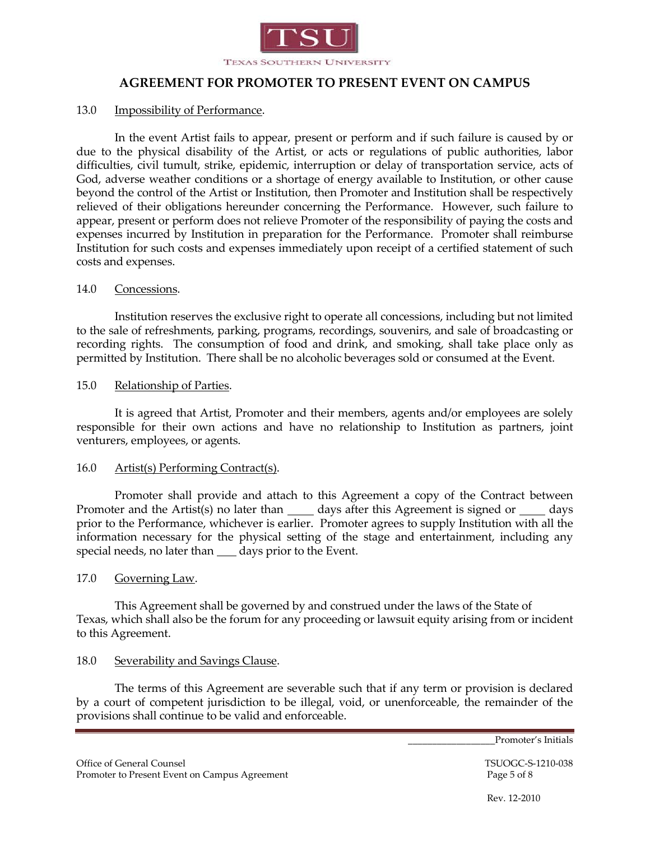

## 13.0 Impossibility of Performance.

In the event Artist fails to appear, present or perform and if such failure is caused by or due to the physical disability of the Artist, or acts or regulations of public authorities, labor difficulties, civil tumult, strike, epidemic, interruption or delay of transportation service, acts of God, adverse weather conditions or a shortage of energy available to Institution, or other cause beyond the control of the Artist or Institution, then Promoter and Institution shall be respectively relieved of their obligations hereunder concerning the Performance. However, such failure to appear, present or perform does not relieve Promoter of the responsibility of paying the costs and expenses incurred by Institution in preparation for the Performance. Promoter shall reimburse Institution for such costs and expenses immediately upon receipt of a certified statement of such costs and expenses.

#### 14.0 Concessions.

Institution reserves the exclusive right to operate all concessions, including but not limited to the sale of refreshments, parking, programs, recordings, souvenirs, and sale of broadcasting or recording rights. The consumption of food and drink, and smoking, shall take place only as permitted by Institution. There shall be no alcoholic beverages sold or consumed at the Event.

#### 15.0 Relationship of Parties.

It is agreed that Artist, Promoter and their members, agents and/or employees are solely responsible for their own actions and have no relationship to Institution as partners, joint venturers, employees, or agents.

#### 16.0 Artist(s) Performing Contract(s).

Promoter shall provide and attach to this Agreement a copy of the Contract between Promoter and the Artist(s) no later than \_\_\_\_\_ days after this Agreement is signed or \_\_\_\_\_ days prior to the Performance, whichever is earlier. Promoter agrees to supply Institution with all the information necessary for the physical setting of the stage and entertainment, including any special needs, no later than \_\_\_\_\_ days prior to the Event.

#### 17.0 Governing Law.

This Agreement shall be governed by and construed under the laws of the State of Texas, which shall also be the forum for any proceeding or lawsuit equity arising from or incident to this Agreement.

#### 18.0 Severability and Savings Clause.

The terms of this Agreement are severable such that if any term or provision is declared by a court of competent jurisdiction to be illegal, void, or unenforceable, the remainder of the provisions shall continue to be valid and enforceable.

\_\_\_\_\_\_\_\_\_\_\_\_\_\_\_\_\_\_Promoter's Initials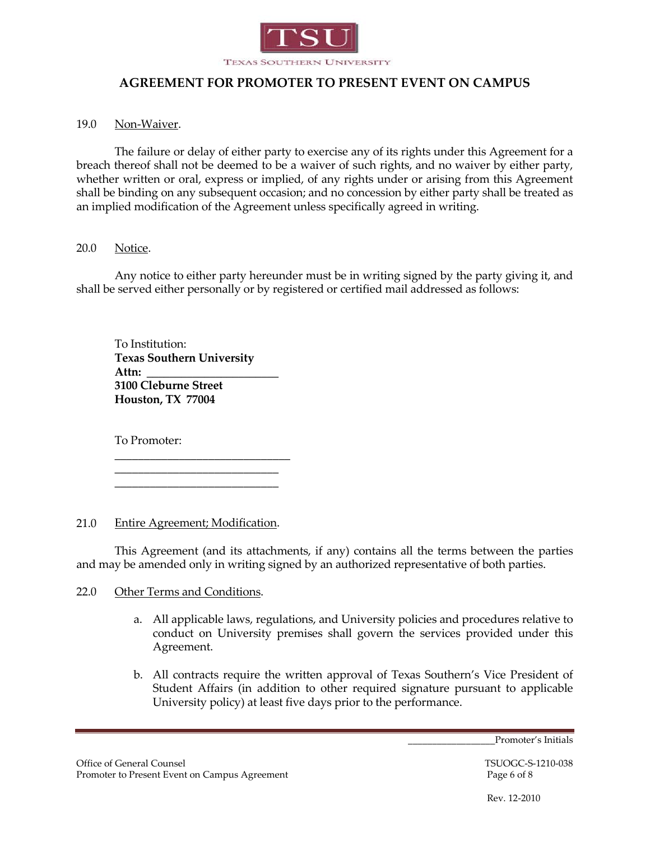

## 19.0 Non-Waiver.

The failure or delay of either party to exercise any of its rights under this Agreement for a breach thereof shall not be deemed to be a waiver of such rights, and no waiver by either party, whether written or oral, express or implied, of any rights under or arising from this Agreement shall be binding on any subsequent occasion; and no concession by either party shall be treated as an implied modification of the Agreement unless specifically agreed in writing.

### 20.0 Notice.

Any notice to either party hereunder must be in writing signed by the party giving it, and shall be served either personally or by registered or certified mail addressed as follows:

To Institution: **Texas Southern University Attn: \_\_\_\_\_\_\_\_\_\_\_\_\_\_\_\_\_\_\_\_\_\_\_ 3100 Cleburne Street Houston, TX 77004**

\_\_\_\_\_\_\_\_\_\_\_\_\_\_\_\_\_\_\_\_\_\_\_\_\_\_\_\_\_\_ \_\_\_\_\_\_\_\_\_\_\_\_\_\_\_\_\_\_\_\_\_\_\_\_\_\_\_\_ \_\_\_\_\_\_\_\_\_\_\_\_\_\_\_\_\_\_\_\_\_\_\_\_\_\_\_\_

To Promoter:

21.0 Entire Agreement; Modification.

This Agreement (and its attachments, if any) contains all the terms between the parties and may be amended only in writing signed by an authorized representative of both parties.

#### 22.0 Other Terms and Conditions.

- a. All applicable laws, regulations, and University policies and procedures relative to conduct on University premises shall govern the services provided under this Agreement.
- b. All contracts require the written approval of Texas Southern's Vice President of Student Affairs (in addition to other required signature pursuant to applicable University policy) at least five days prior to the performance.

Promoter's Initials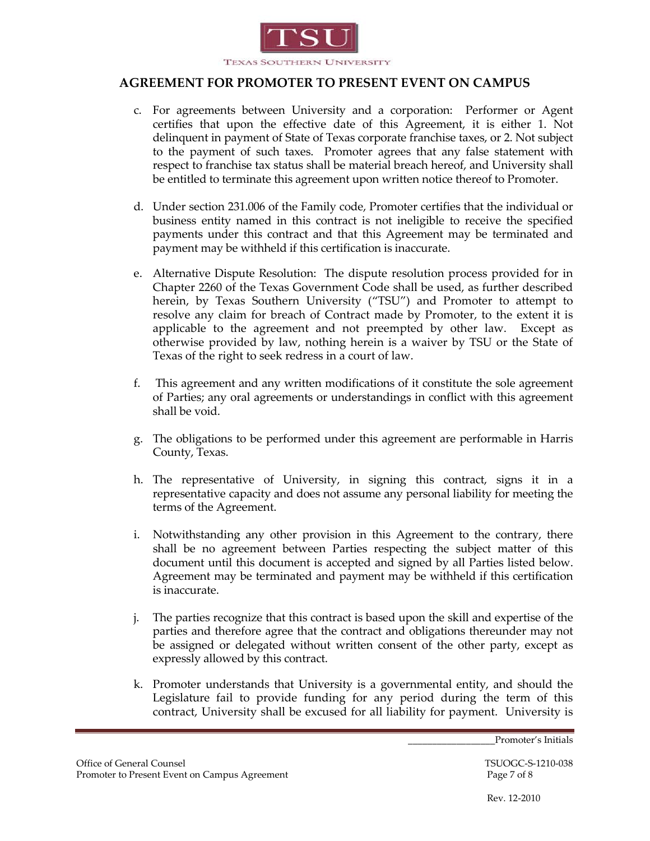

- c. For agreements between University and a corporation: Performer or Agent certifies that upon the effective date of this Agreement, it is either 1. Not delinquent in payment of State of Texas corporate franchise taxes, or 2. Not subject to the payment of such taxes. Promoter agrees that any false statement with respect to franchise tax status shall be material breach hereof, and University shall be entitled to terminate this agreement upon written notice thereof to Promoter.
- d. Under section 231.006 of the Family code, Promoter certifies that the individual or business entity named in this contract is not ineligible to receive the specified payments under this contract and that this Agreement may be terminated and payment may be withheld if this certification is inaccurate.
- e. Alternative Dispute Resolution: The dispute resolution process provided for in Chapter 2260 of the Texas Government Code shall be used, as further described herein, by Texas Southern University ("TSU") and Promoter to attempt to resolve any claim for breach of Contract made by Promoter, to the extent it is applicable to the agreement and not preempted by other law. Except as otherwise provided by law, nothing herein is a waiver by TSU or the State of Texas of the right to seek redress in a court of law.
- f. This agreement and any written modifications of it constitute the sole agreement of Parties; any oral agreements or understandings in conflict with this agreement shall be void.
- g. The obligations to be performed under this agreement are performable in Harris County, Texas.
- h. The representative of University, in signing this contract, signs it in a representative capacity and does not assume any personal liability for meeting the terms of the Agreement.
- i. Notwithstanding any other provision in this Agreement to the contrary, there shall be no agreement between Parties respecting the subject matter of this document until this document is accepted and signed by all Parties listed below. Agreement may be terminated and payment may be withheld if this certification is inaccurate.
- j. The parties recognize that this contract is based upon the skill and expertise of the parties and therefore agree that the contract and obligations thereunder may not be assigned or delegated without written consent of the other party, except as expressly allowed by this contract.
- k. Promoter understands that University is a governmental entity, and should the Legislature fail to provide funding for any period during the term of this contract, University shall be excused for all liability for payment. University is